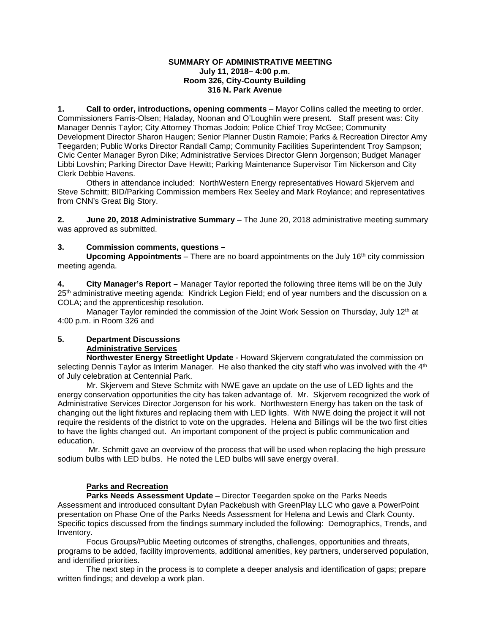#### **SUMMARY OF ADMINISTRATIVE MEETING July 11, 2018– 4:00 p.m. Room 326, City-County Building 316 N. Park Avenue**

**1. Call to order, introductions, opening comments** – Mayor Collins called the meeting to order. Commissioners Farris-Olsen; Haladay, Noonan and O'Loughlin were present. Staff present was: City Manager Dennis Taylor; City Attorney Thomas Jodoin; Police Chief Troy McGee; Community Development Director Sharon Haugen; Senior Planner Dustin Ramoie; Parks & Recreation Director Amy Teegarden; Public Works Director Randall Camp; Community Facilities Superintendent Troy Sampson; Civic Center Manager Byron Dike; Administrative Services Director Glenn Jorgenson; Budget Manager Libbi Lovshin; Parking Director Dave Hewitt; Parking Maintenance Supervisor Tim Nickerson and City Clerk Debbie Havens.

Others in attendance included: NorthWestern Energy representatives Howard Skjervem and Steve Schmitt; BID/Parking Commission members Rex Seeley and Mark Roylance; and representatives from CNN's Great Big Story.

**2. June 20, 2018 Administrative Summary** – The June 20, 2018 administrative meeting summary was approved as submitted.

### **3. Commission comments, questions –**

**Upcoming Appointments** – There are no board appointments on the July 16th city commission meeting agenda.

**4. City Manager's Report –** Manager Taylor reported the following three items will be on the July 25<sup>th</sup> administrative meeting agenda: Kindrick Legion Field; end of year numbers and the discussion on a COLA; and the apprenticeship resolution.

Manager Taylor reminded the commission of the Joint Work Session on Thursday, July 12<sup>th</sup> at 4:00 p.m. in Room 326 and

# **5. Department Discussions**

### **Administrative Services**

**Northwester Energy Streetlight Update** - Howard Skjervem congratulated the commission on selecting Dennis Taylor as Interim Manager. He also thanked the city staff who was involved with the 4<sup>th</sup> of July celebration at Centennial Park.

Mr. Skjervem and Steve Schmitz with NWE gave an update on the use of LED lights and the energy conservation opportunities the city has taken advantage of. Mr. Skjervem recognized the work of Administrative Services Director Jorgenson for his work. Northwestern Energy has taken on the task of changing out the light fixtures and replacing them with LED lights. With NWE doing the project it will not require the residents of the district to vote on the upgrades. Helena and Billings will be the two first cities to have the lights changed out. An important component of the project is public communication and education.

Mr. Schmitt gave an overview of the process that will be used when replacing the high pressure sodium bulbs with LED bulbs. He noted the LED bulbs will save energy overall.

### **Parks and Recreation**

**Parks Needs Assessment Update** – Director Teegarden spoke on the Parks Needs Assessment and introduced consultant Dylan Packebush with GreenPlay LLC who gave a PowerPoint presentation on Phase One of the Parks Needs Assessment for Helena and Lewis and Clark County. Specific topics discussed from the findings summary included the following: Demographics, Trends, and Inventory.

Focus Groups/Public Meeting outcomes of strengths, challenges, opportunities and threats, programs to be added, facility improvements, additional amenities, key partners, underserved population, and identified priorities.

The next step in the process is to complete a deeper analysis and identification of gaps; prepare written findings; and develop a work plan.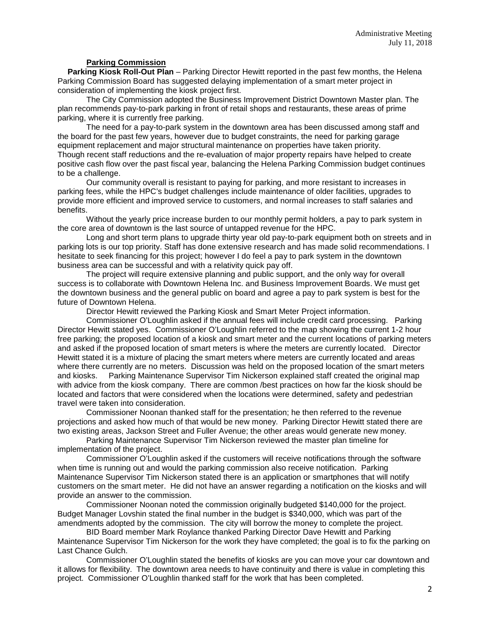### **Parking Commission**

**Parking Kiosk Roll-Out Plan** – Parking Director Hewitt reported in the past few months, the Helena Parking Commission Board has suggested delaying implementation of a smart meter project in consideration of implementing the kiosk project first.

The City Commission adopted the Business Improvement District Downtown Master plan. The plan recommends pay-to-park parking in front of retail shops and restaurants, these areas of prime parking, where it is currently free parking.

The need for a pay-to-park system in the downtown area has been discussed among staff and the board for the past few years, however due to budget constraints, the need for parking garage equipment replacement and major structural maintenance on properties have taken priority. Though recent staff reductions and the re-evaluation of major property repairs have helped to create positive cash flow over the past fiscal year, balancing the Helena Parking Commission budget continues to be a challenge.

Our community overall is resistant to paying for parking, and more resistant to increases in parking fees, while the HPC's budget challenges include maintenance of older facilities, upgrades to provide more efficient and improved service to customers, and normal increases to staff salaries and benefits.

Without the yearly price increase burden to our monthly permit holders, a pay to park system in the core area of downtown is the last source of untapped revenue for the HPC.

Long and short term plans to upgrade thirty year old pay-to-park equipment both on streets and in parking lots is our top priority. Staff has done extensive research and has made solid recommendations. I hesitate to seek financing for this project; however I do feel a pay to park system in the downtown business area can be successful and with a relativity quick pay off.

The project will require extensive planning and public support, and the only way for overall success is to collaborate with Downtown Helena Inc. and Business Improvement Boards. We must get the downtown business and the general public on board and agree a pay to park system is best for the future of Downtown Helena.

Director Hewitt reviewed the Parking Kiosk and Smart Meter Project information.

Commissioner O'Loughlin asked if the annual fees will include credit card processing. Parking Director Hewitt stated yes. Commissioner O'Loughlin referred to the map showing the current 1-2 hour free parking; the proposed location of a kiosk and smart meter and the current locations of parking meters and asked if the proposed location of smart meters is where the meters are currently located. Director Hewitt stated it is a mixture of placing the smart meters where meters are currently located and areas where there currently are no meters. Discussion was held on the proposed location of the smart meters and kiosks. Parking Maintenance Supervisor Tim Nickerson explained staff created the original map with advice from the kiosk company. There are common /best practices on how far the kiosk should be located and factors that were considered when the locations were determined, safety and pedestrian travel were taken into consideration.

Commissioner Noonan thanked staff for the presentation; he then referred to the revenue projections and asked how much of that would be new money. Parking Director Hewitt stated there are two existing areas, Jackson Street and Fuller Avenue; the other areas would generate new money.

Parking Maintenance Supervisor Tim Nickerson reviewed the master plan timeline for implementation of the project.

Commissioner O'Loughlin asked if the customers will receive notifications through the software when time is running out and would the parking commission also receive notification. Parking Maintenance Supervisor Tim Nickerson stated there is an application or smartphones that will notify customers on the smart meter. He did not have an answer regarding a notification on the kiosks and will provide an answer to the commission.

Commissioner Noonan noted the commission originally budgeted \$140,000 for the project. Budget Manager Lovshin stated the final number in the budget is \$340,000, which was part of the amendments adopted by the commission. The city will borrow the money to complete the project.

BID Board member Mark Roylance thanked Parking Director Dave Hewitt and Parking Maintenance Supervisor Tim Nickerson for the work they have completed; the goal is to fix the parking on Last Chance Gulch.

Commissioner O'Loughlin stated the benefits of kiosks are you can move your car downtown and it allows for flexibility. The downtown area needs to have continuity and there is value in completing this project. Commissioner O'Loughlin thanked staff for the work that has been completed.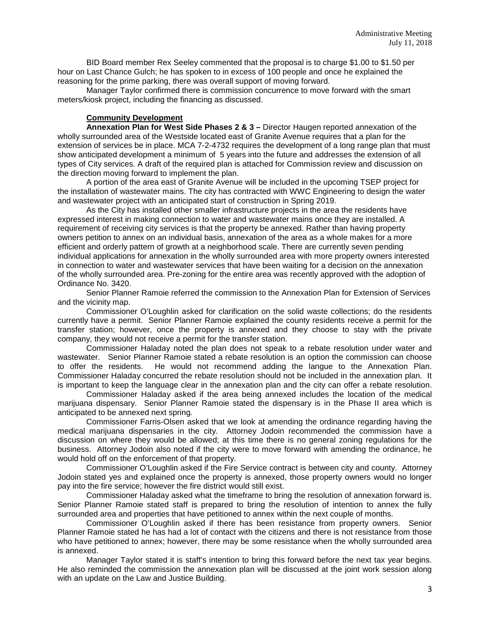BID Board member Rex Seeley commented that the proposal is to charge \$1.00 to \$1.50 per hour on Last Chance Gulch; he has spoken to in excess of 100 people and once he explained the reasoning for the prime parking, there was overall support of moving forward.

Manager Taylor confirmed there is commission concurrence to move forward with the smart meters/kiosk project, including the financing as discussed.

### **Community Development**

**Annexation Plan for West Side Phases 2 & 3 –** Director Haugen reported annexation of the wholly surrounded area of the Westside located east of Granite Avenue requires that a plan for the extension of services be in place. MCA 7-2-4732 requires the development of a long range plan that must show anticipated development a minimum of 5 years into the future and addresses the extension of all types of City services. A draft of the required plan is attached for Commission review and discussion on the direction moving forward to implement the plan.

A portion of the area east of Granite Avenue will be included in the upcoming TSEP project for the installation of wastewater mains. The city has contracted with WWC Engineering to design the water and wastewater project with an anticipated start of construction in Spring 2019.

As the City has installed other smaller infrastructure projects in the area the residents have expressed interest in making connection to water and wastewater mains once they are installed. A requirement of receiving city services is that the property be annexed. Rather than having property owners petition to annex on an individual basis, annexation of the area as a whole makes for a more efficient and orderly pattern of growth at a neighborhood scale. There are currently seven pending individual applications for annexation in the wholly surrounded area with more property owners interested in connection to water and wastewater services that have been waiting for a decision on the annexation of the wholly surrounded area. Pre-zoning for the entire area was recently approved with the adoption of Ordinance No. 3420.

Senior Planner Ramoie referred the commission to the Annexation Plan for Extension of Services and the vicinity map.

Commissioner O'Loughlin asked for clarification on the solid waste collections; do the residents currently have a permit. Senior Planner Ramoie explained the county residents receive a permit for the transfer station; however, once the property is annexed and they choose to stay with the private company, they would not receive a permit for the transfer station.

Commissioner Haladay noted the plan does not speak to a rebate resolution under water and wastewater. Senior Planner Ramoie stated a rebate resolution is an option the commission can choose to offer the residents. He would not recommend adding the langue to the Annexation Plan. Commissioner Haladay concurred the rebate resolution should not be included in the annexation plan. It is important to keep the language clear in the annexation plan and the city can offer a rebate resolution.

Commissioner Haladay asked if the area being annexed includes the location of the medical marijuana dispensary. Senior Planner Ramoie stated the dispensary is in the Phase II area which is anticipated to be annexed next spring.

Commissioner Farris-Olsen asked that we look at amending the ordinance regarding having the medical marijuana dispensaries in the city. Attorney Jodoin recommended the commission have a discussion on where they would be allowed; at this time there is no general zoning regulations for the business. Attorney Jodoin also noted if the city were to move forward with amending the ordinance, he would hold off on the enforcement of that property.

Commissioner O'Loughlin asked if the Fire Service contract is between city and county. Attorney Jodoin stated yes and explained once the property is annexed, those property owners would no longer pay into the fire service; however the fire district would still exist.

Commissioner Haladay asked what the timeframe to bring the resolution of annexation forward is. Senior Planner Ramoie stated staff is prepared to bring the resolution of intention to annex the fully surrounded area and properties that have petitioned to annex within the next couple of months.

Commissioner O'Loughlin asked if there has been resistance from property owners. Senior Planner Ramoie stated he has had a lot of contact with the citizens and there is not resistance from those who have petitioned to annex; however, there may be some resistance when the wholly surrounded area is annexed.

Manager Taylor stated it is staff's intention to bring this forward before the next tax year begins. He also reminded the commission the annexation plan will be discussed at the joint work session along with an update on the Law and Justice Building.